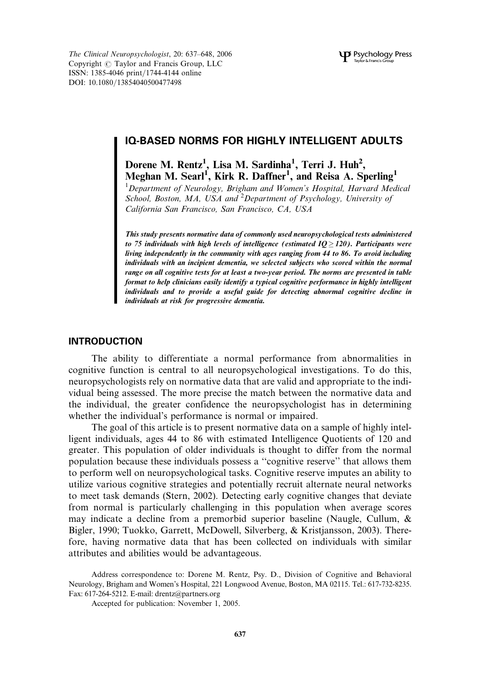The Clinical Neuropsychologist, 20: 637–648, 2006 Copyright  $\odot$  Taylor and Francis Group, LLC ISSN: 1385-4046 print/1744-4144 online DOI: 10.1080/13854040500477498

# IQ-BASED NORMS FOR HIGHLY INTELLIGENT ADULTS

Dorene M. Rentz<sup>1</sup>, Lisa M. Sardinha<sup>1</sup>, Terri J. Huh<sup>2</sup>, Meghan M. Searl<sup>1</sup>, Kirk R. Daffner<sup>1</sup>, and Reisa A. Sperling<sup>1</sup>

<sup>1</sup>Department of Neurology, Brigham and Women's Hospital, Harvard Medical School, Boston, MA, USA and <sup>2</sup> Department of Psychology, University of California San Francisco, San Francisco, CA, USA

This study presents normative data of commonly used neuropsychological tests administered to 75 individuals with high levels of intelligence (estimated  $IO > 120$ ). Participants were living independently in the community with ages ranging from 44 to 86. To avoid including individuals with an incipient dementia, we selected subjects who scored within the normal range on all cognitive tests for at least a two-year period. The norms are presented in table format to help clinicians easily identify a typical cognitive performance in highly intelligent individuals and to provide a useful guide for detecting abnormal cognitive decline in individuals at risk for progressive dementia.

## INTRODUCTION

The ability to differentiate a normal performance from abnormalities in cognitive function is central to all neuropsychological investigations. To do this, neuropsychologists rely on normative data that are valid and appropriate to the individual being assessed. The more precise the match between the normative data and the individual, the greater confidence the neuropsychologist has in determining whether the individual's performance is normal or impaired.

The goal of this article is to present normative data on a sample of highly intelligent individuals, ages 44 to 86 with estimated Intelligence Quotients of 120 and greater. This population of older individuals is thought to differ from the normal population because these individuals possess a ''cognitive reserve'' that allows them to perform well on neuropsychological tasks. Cognitive reserve imputes an ability to utilize various cognitive strategies and potentially recruit alternate neural networks to meet task demands (Stern, 2002). Detecting early cognitive changes that deviate from normal is particularly challenging in this population when average scores may indicate a decline from a premorbid superior baseline (Naugle, Cullum, & Bigler, 1990; Tuokko, Garrett, McDowell, Silverberg, & Kristjansson, 2003). Therefore, having normative data that has been collected on individuals with similar attributes and abilities would be advantageous.

Accepted for publication: November 1, 2005.

Address correspondence to: Dorene M. Rentz, Psy. D., Division of Cognitive and Behavioral Neurology, Brigham and Women's Hospital, 221 Longwood Avenue, Boston, MA 02115. Tel.: 617-732-8235. Fax: 617-264-5212. E-mail: drentz@partners.org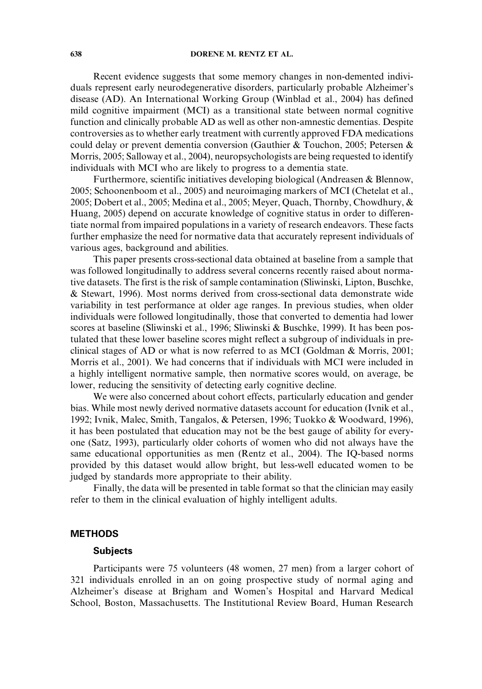Recent evidence suggests that some memory changes in non-demented individuals represent early neurodegenerative disorders, particularly probable Alzheimer's disease (AD). An International Working Group (Winblad et al., 2004) has defined mild cognitive impairment (MCI) as a transitional state between normal cognitive function and clinically probable AD as well as other non-amnestic dementias. Despite controversies as to whether early treatment with currently approved FDA medications could delay or prevent dementia conversion (Gauthier & Touchon, 2005; Petersen & Morris, 2005; Salloway et al., 2004), neuropsychologists are being requested to identify individuals with MCI who are likely to progress to a dementia state.

Furthermore, scientific initiatives developing biological (Andreasen & Blennow, 2005; Schoonenboom et al., 2005) and neuroimaging markers of MCI (Chetelat et al., 2005; Dobert et al., 2005; Medina et al., 2005; Meyer, Quach, Thornby, Chowdhury, & Huang, 2005) depend on accurate knowledge of cognitive status in order to differentiate normal from impaired populations in a variety of research endeavors. These facts further emphasize the need for normative data that accurately represent individuals of various ages, background and abilities.

This paper presents cross-sectional data obtained at baseline from a sample that was followed longitudinally to address several concerns recently raised about normative datasets. The first is the risk of sample contamination (Sliwinski, Lipton, Buschke, & Stewart, 1996). Most norms derived from cross-sectional data demonstrate wide variability in test performance at older age ranges. In previous studies, when older individuals were followed longitudinally, those that converted to dementia had lower scores at baseline (Sliwinski et al., 1996; Sliwinski & Buschke, 1999). It has been postulated that these lower baseline scores might reflect a subgroup of individuals in preclinical stages of AD or what is now referred to as MCI (Goldman & Morris, 2001; Morris et al., 2001). We had concerns that if individuals with MCI were included in a highly intelligent normative sample, then normative scores would, on average, be lower, reducing the sensitivity of detecting early cognitive decline.

We were also concerned about cohort effects, particularly education and gender bias. While most newly derived normative datasets account for education (Ivnik et al., 1992; Ivnik, Malec, Smith, Tangalos, & Petersen, 1996; Tuokko & Woodward, 1996), it has been postulated that education may not be the best gauge of ability for everyone (Satz, 1993), particularly older cohorts of women who did not always have the same educational opportunities as men (Rentz et al., 2004). The IQ-based norms provided by this dataset would allow bright, but less-well educated women to be judged by standards more appropriate to their ability.

Finally, the data will be presented in table format so that the clinician may easily refer to them in the clinical evaluation of highly intelligent adults.

## **METHODS**

### **Subjects**

Participants were 75 volunteers (48 women, 27 men) from a larger cohort of 321 individuals enrolled in an on going prospective study of normal aging and Alzheimer's disease at Brigham and Women's Hospital and Harvard Medical School, Boston, Massachusetts. The Institutional Review Board, Human Research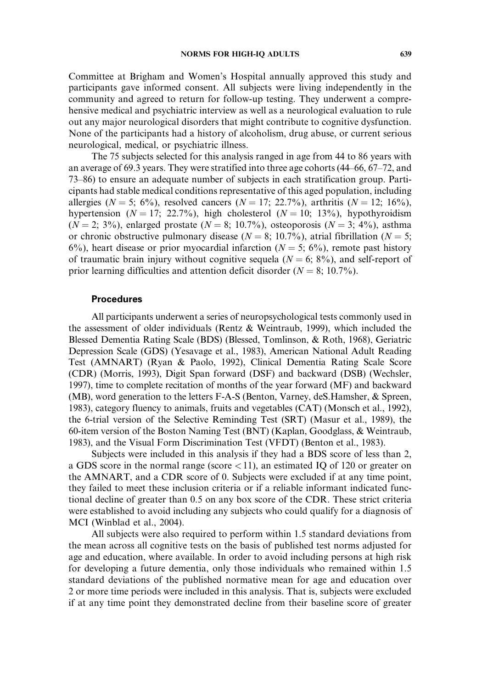Committee at Brigham and Women's Hospital annually approved this study and participants gave informed consent. All subjects were living independently in the community and agreed to return for follow-up testing. They underwent a comprehensive medical and psychiatric interview as well as a neurological evaluation to rule out any major neurological disorders that might contribute to cognitive dysfunction. None of the participants had a history of alcoholism, drug abuse, or current serious neurological, medical, or psychiatric illness.

The 75 subjects selected for this analysis ranged in age from 44 to 86 years with an average of 69.3 years. They were stratified into three age cohorts (44–66, 67–72, and 73–86) to ensure an adequate number of subjects in each stratification group. Participants had stable medical conditions representative of this aged population, including allergies ( $N = 5$ ; 6%), resolved cancers ( $N = 17$ ; 22.7%), arthritis ( $N = 12$ ; 16%), hypertension ( $N = 17$ ; 22.7%), high cholesterol ( $N = 10$ ; 13%), hypothyroidism  $(N = 2; 3\%)$ , enlarged prostate  $(N = 8; 10.7\%)$ , osteoporosis  $(N = 3; 4\%)$ , asthma or chronic obstructive pulmonary disease ( $N = 8$ ; 10.7%), atrial fibrillation ( $N = 5$ ; 6%), heart disease or prior myocardial infarction ( $N = 5$ ; 6%), remote past history of traumatic brain injury without cognitive sequela ( $N = 6$ ; 8%), and self-report of prior learning difficulties and attention deficit disorder ( $N = 8$ ; 10.7%).

## Procedures

All participants underwent a series of neuropsychological tests commonly used in the assessment of older individuals (Rentz & Weintraub, 1999), which included the Blessed Dementia Rating Scale (BDS) (Blessed, Tomlinson, & Roth, 1968), Geriatric Depression Scale (GDS) (Yesavage et al., 1983), American National Adult Reading Test (AMNART) (Ryan & Paolo, 1992), Clinical Dementia Rating Scale Score (CDR) (Morris, 1993), Digit Span forward (DSF) and backward (DSB) (Wechsler, 1997), time to complete recitation of months of the year forward (MF) and backward (MB), word generation to the letters F-A-S (Benton, Varney, deS.Hamsher, & Spreen, 1983), category fluency to animals, fruits and vegetables (CAT) (Monsch et al., 1992), the 6-trial version of the Selective Reminding Test (SRT) (Masur et al., 1989), the 60-item version of the Boston Naming Test (BNT) (Kaplan, Goodglass, & Weintraub, 1983), and the Visual Form Discrimination Test (VFDT) (Benton et al., 1983).

Subjects were included in this analysis if they had a BDS score of less than 2, a GDS score in the normal range (score  $\langle 11 \rangle$ , an estimated IQ of 120 or greater on the AMNART, and a CDR score of 0. Subjects were excluded if at any time point, they failed to meet these inclusion criteria or if a reliable informant indicated functional decline of greater than 0.5 on any box score of the CDR. These strict criteria were established to avoid including any subjects who could qualify for a diagnosis of MCI (Winblad et al., 2004).

All subjects were also required to perform within 1.5 standard deviations from the mean across all cognitive tests on the basis of published test norms adjusted for age and education, where available. In order to avoid including persons at high risk for developing a future dementia, only those individuals who remained within 1.5 standard deviations of the published normative mean for age and education over 2 or more time periods were included in this analysis. That is, subjects were excluded if at any time point they demonstrated decline from their baseline score of greater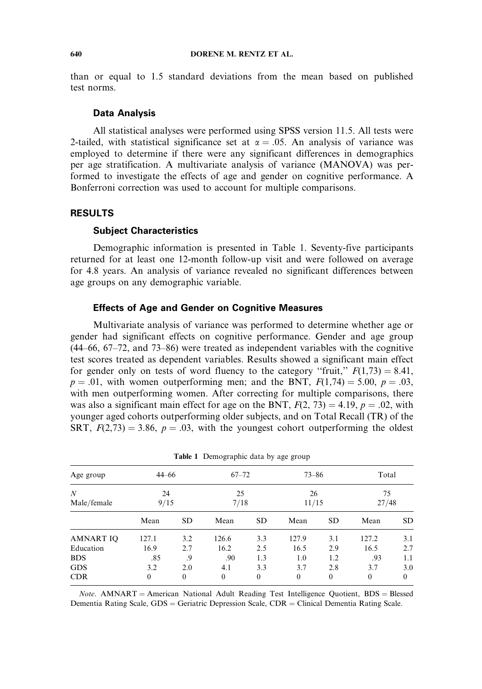than or equal to 1.5 standard deviations from the mean based on published test norms.

#### Data Analysis

All statistical analyses were performed using SPSS version 11.5. All tests were 2-tailed, with statistical significance set at  $\alpha = .05$ . An analysis of variance was employed to determine if there were any significant differences in demographics per age stratification. A multivariate analysis of variance (MANOVA) was performed to investigate the effects of age and gender on cognitive performance. A Bonferroni correction was used to account for multiple comparisons.

#### RESULTS

### Subject Characteristics

Demographic information is presented in Table 1. Seventy-five participants returned for at least one 12-month follow-up visit and were followed on average for 4.8 years. An analysis of variance revealed no significant differences between age groups on any demographic variable.

#### Effects of Age and Gender on Cognitive Measures

Multivariate analysis of variance was performed to determine whether age or gender had significant effects on cognitive performance. Gender and age group (44–66, 67–72, and 73–86) were treated as independent variables with the cognitive test scores treated as dependent variables. Results showed a significant main effect for gender only on tests of word fluency to the category "fruit,"  $F(1,73) = 8.41$ ,  $p = .01$ , with women outperforming men; and the BNT,  $F(1,74) = 5.00$ ,  $p = .03$ , with men outperforming women. After correcting for multiple comparisons, there was also a significant main effect for age on the BNT,  $F(2, 73) = 4.19$ ,  $p = .02$ , with younger aged cohorts outperforming older subjects, and on Total Recall (TR) of the SRT,  $F(2,73) = 3.86$ ,  $p = .03$ , with the youngest cohort outperforming the oldest

|                  |            |              | <b>rative Frances</b> applied that by age group |              |              |              |               |           |  |
|------------------|------------|--------------|-------------------------------------------------|--------------|--------------|--------------|---------------|-----------|--|
| Age group        | $44 - 66$  |              | $67 - 72$                                       |              | $73 - 86$    |              | Total         |           |  |
| N<br>Male/female | 24<br>9/15 |              | 25<br>7/18                                      |              | 26<br>11/15  |              | 75<br>27/48   |           |  |
|                  | Mean       | SD.          | Mean                                            | SD.          | Mean         | <b>SD</b>    | Mean          | <b>SD</b> |  |
| <b>AMNART IO</b> | 127.1      | 3.2          | 126.6                                           | 3.3          | 127.9        | 3.1          | 127.2         | 3.1       |  |
| Education        | 16.9       | 2.7          | 16.2                                            | 2.5          | 16.5         | 2.9          | 16.5          | 2.7       |  |
| <b>BDS</b>       | .85        | .9           | .90                                             | 1.3          | 1.0          | 1.2          | .93           | 1.1       |  |
| <b>GDS</b>       | 3.2        | 2.0          | 4.1                                             | 3.3          | 3.7          | 2.8          | 3.7           | 3.0       |  |
| <b>CDR</b>       | $\Omega$   | $\mathbf{0}$ | $\theta$                                        | $\mathbf{0}$ | $\mathbf{0}$ | $\mathbf{0}$ | $\Omega$<br>0 |           |  |

Table 1 Demographic data by age group

 $Note. AMNART = American National Adult Reading Test Intelligence Quotient, BDS = Blessed$ Dementia Rating Scale,  $GDS =$  Geriatric Depression Scale,  $CDR =$  Clinical Dementia Rating Scale.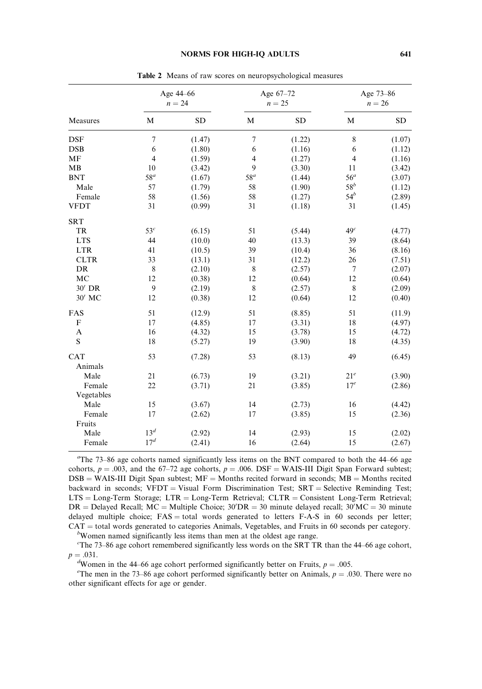#### NORMS FOR HIGH-IQ ADULTS 641

|                |                 | Age 44-66<br>$n = 24$ |                | Age 67-72<br>$n = 25$ |                 | Age 73-86<br>$n = 26$ |
|----------------|-----------------|-----------------------|----------------|-----------------------|-----------------|-----------------------|
| Measures       | M               | <b>SD</b>             | M              | <b>SD</b>             | M               | <b>SD</b>             |
| <b>DSF</b>     | $\tau$          | (1.47)                | $\tau$         | (1.22)                | 8               | (1.07)                |
| <b>DSB</b>     | 6               | (1.80)                | 6              | (1.16)                | 6               | (1.12)                |
| MF             | $\overline{4}$  | (1.59)                | $\overline{4}$ | (1.27)                | $\overline{4}$  | (1.16)                |
| <b>MB</b>      | 10              | (3.42)                | 9              | (3.30)                | 11              | (3.42)                |
| <b>BNT</b>     | $58^a$          | (1.67)                | $58^a$         | (1.44)                | 56 <sup>a</sup> | (3.07)                |
| Male           | 57              | (1.79)                | 58             | (1.90)                | $58^b$          | (1.12)                |
| Female         | 58              | (1.56)                | 58             | (1.27)                | $54^b$          | (2.89)                |
| <b>VFDT</b>    | 31              | (0.99)                | 31             | (1.18)                | 31              | (1.45)                |
| <b>SRT</b>     |                 |                       |                |                       |                 |                       |
| TR             | 53 <sup>c</sup> | (6.15)                | 51             | (5.44)                | 49 <sup>c</sup> | (4.77)                |
| <b>LTS</b>     | 44              | (10.0)                | 40             | (13.3)                | 39              | (8.64)                |
| <b>LTR</b>     | 41              | (10.5)                | 39             | (10.4)                | 36              | (8.16)                |
| <b>CLTR</b>    | 33              | (13.1)                | 31             | (12.2)                | 26              | (7.51)                |
| DR             | 8               | (2.10)                | 8              | (2.57)                | 7               | (2.07)                |
| MC             | 12              | (0.38)                | 12             | (0.64)                | 12              | (0.64)                |
| 30' DR         | 9               | (2.19)                | 8              | (2.57)                | $\,$ 8 $\,$     | (2.09)                |
| 30' MC         | 12              | (0.38)                | 12             | (0.64)                | 12              | (0.40)                |
| FAS            | 51              | (12.9)                | 51             | (8.85)                | 51              | (11.9)                |
| F              | 17              | (4.85)                | 17             | (3.31)                | 18              | (4.97)                |
| $\overline{A}$ | 16              | (4.32)                | 15             | (3.78)                | 15              | (4.72)                |
| S              | 18              | (5.27)                | 19             | (3.90)                | 18              | (4.35)                |
| CAT            | 53              | (7.28)                | 53             | (8.13)                | 49              | (6.45)                |
| Animals        |                 |                       |                |                       |                 |                       |
| Male           | 21              | (6.73)                | 19             | (3.21)                | 21 <sup>e</sup> | (3.90)                |
| Female         | 22              | (3.71)                | 21             | (3.85)                | 17 <sup>e</sup> | (2.86)                |
| Vegetables     |                 |                       |                |                       |                 |                       |
| Male           | 15              | (3.67)                | 14             | (2.73)                | 16              | (4.42)                |
| Female         | 17              | (2.62)                | 17             | (3.85)                | 15              | (2.36)                |
| Fruits         |                 |                       |                |                       |                 |                       |
| Male           | 13 <sup>d</sup> | (2.92)                | 14             | (2.93)                | 15              | (2.02)                |
| Female         | 17 <sup>d</sup> | (2.41)                | 16             | (2.64)                | 15              | (2.67)                |

Table 2 Means of raw scores on neuropsychological measures

 $T$ he 73–86 age cohorts named significantly less items on the BNT compared to both the 44–66 age cohorts,  $p = .003$ , and the 67–72 age cohorts,  $p = .006$ . DSF = WAIS-III Digit Span Forward subtest;  $DSB = WAIS-III$  Digit Span subtest;  $MF = Months$  recited forward in seconds;  $MB = Months$  recited backward in seconds;  $VFDT = Visual Form$  Discrimination Test;  $SRT =$  Selective Reminding Test;  $LTS = Long-Term Storage; LTR = Long-Term Retrieval; CLTR = Consistent Long-Term Retrieval;$ DR = Delayed Recall;  $MC =$  Multiple Choice;  $30'DR = 30$  minute delayed recall;  $30'MC = 30$  minute delayed multiple choice;  $FAS = total$  words generated to letters  $F-A-S$  in 60 seconds per letter;  $CAT = total$  words generated to categories Animals, Vegetables, and Fruits in 60 seconds per category.

 $b$ Women named significantly less items than men at the oldest age range.

<sup>c</sup>The 73–86 age cohort remembered significantly less words on the SRT TR than the 44–66 age cohort,  $p = .031.$ 

Women in the 44–66 age cohort performed significantly better on Fruits,  $p = .005$ .<br>The man in the 73–86 age sebest performed significantly better on Animals,  $p = .0$ .

<sup>e</sup>The men in the 73–86 age cohort performed significantly better on Animals,  $p = 0.030$ . There were no other significant effects for age or gender.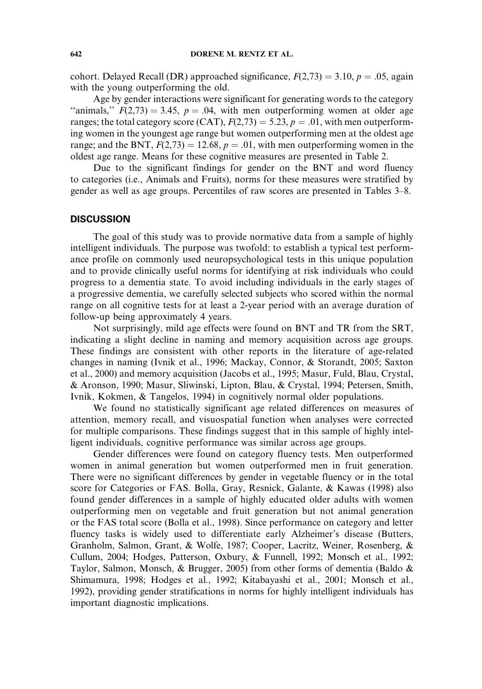cohort. Delayed Recall (DR) approached significance,  $F(2,73) = 3.10, p = .05$ , again with the young outperforming the old.

Age by gender interactions were significant for generating words to the category "animals,"  $F(2,73) = 3.45$ ,  $p = .04$ , with men outperforming women at older age ranges; the total category score (CAT),  $F(2,73) = 5.23$ ,  $p = .01$ , with men outperforming women in the youngest age range but women outperforming men at the oldest age range; and the BNT,  $F(2,73) = 12.68$ ,  $p = .01$ , with men outperforming women in the oldest age range. Means for these cognitive measures are presented in Table 2.

Due to the significant findings for gender on the BNT and word fluency to categories (i.e., Animals and Fruits), norms for these measures were stratified by gender as well as age groups. Percentiles of raw scores are presented in Tables 3–8.

## **DISCUSSION**

The goal of this study was to provide normative data from a sample of highly intelligent individuals. The purpose was twofold: to establish a typical test performance profile on commonly used neuropsychological tests in this unique population and to provide clinically useful norms for identifying at risk individuals who could progress to a dementia state. To avoid including individuals in the early stages of a progressive dementia, we carefully selected subjects who scored within the normal range on all cognitive tests for at least a 2-year period with an average duration of follow-up being approximately 4 years.

Not surprisingly, mild age effects were found on BNT and TR from the SRT, indicating a slight decline in naming and memory acquisition across age groups. These findings are consistent with other reports in the literature of age-related changes in naming (Ivnik et al., 1996; Mackay, Connor, & Storandt, 2005; Saxton et al., 2000) and memory acquisition (Jacobs et al., 1995; Masur, Fuld, Blau, Crystal, & Aronson, 1990; Masur, Sliwinski, Lipton, Blau, & Crystal, 1994; Petersen, Smith, Ivnik, Kokmen, & Tangelos, 1994) in cognitively normal older populations.

We found no statistically significant age related differences on measures of attention, memory recall, and visuospatial function when analyses were corrected for multiple comparisons. These findings suggest that in this sample of highly intelligent individuals, cognitive performance was similar across age groups.

Gender differences were found on category fluency tests. Men outperformed women in animal generation but women outperformed men in fruit generation. There were no significant differences by gender in vegetable fluency or in the total score for Categories or FAS. Bolla, Gray, Resnick, Galante, & Kawas (1998) also found gender differences in a sample of highly educated older adults with women outperforming men on vegetable and fruit generation but not animal generation or the FAS total score (Bolla et al., 1998). Since performance on category and letter fluency tasks is widely used to differentiate early Alzheimer's disease (Butters, Granholm, Salmon, Grant, & Wolfe, 1987; Cooper, Lacritz, Weiner, Rosenberg, & Cullum, 2004; Hodges, Patterson, Oxbury, & Funnell, 1992; Monsch et al., 1992; Taylor, Salmon, Monsch, & Brugger, 2005) from other forms of dementia (Baldo & Shimamura, 1998; Hodges et al., 1992; Kitabayashi et al., 2001; Monsch et al., 1992), providing gender stratifications in norms for highly intelligent individuals has important diagnostic implications.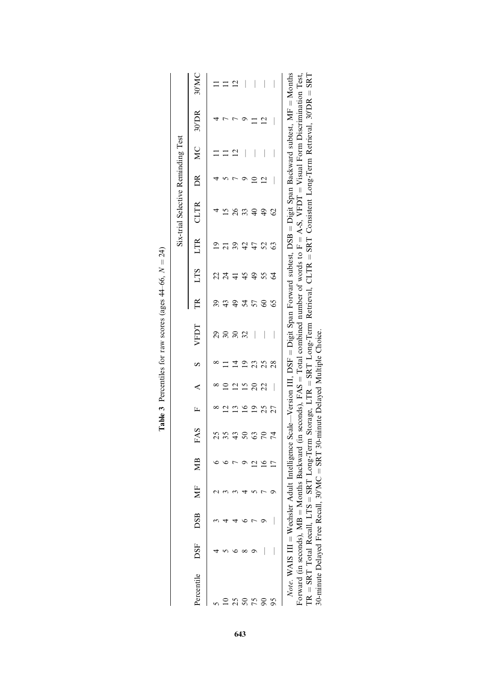|                                                                                                                                                                               |                           |    |    |                                                  |               |   |    |                          |               |     |     | Six-trial Selective Reminding Test |         |    |                                                                                                                                                                                                                                                         |      |
|-------------------------------------------------------------------------------------------------------------------------------------------------------------------------------|---------------------------|----|----|--------------------------------------------------|---------------|---|----|--------------------------|---------------|-----|-----|------------------------------------|---------|----|---------------------------------------------------------------------------------------------------------------------------------------------------------------------------------------------------------------------------------------------------------|------|
| Percentile DSF DSB                                                                                                                                                            |                           | МF | МB | FAS                                              | $\frac{1}{2}$ | ∢ |    | VFDT                     | $\mathbb{R}$  | LTS | LTR | CLTR                               | $\beta$ | MC | 30'DR                                                                                                                                                                                                                                                   | 30MC |
|                                                                                                                                                                               |                           |    |    |                                                  |               |   |    |                          |               |     |     |                                    |         |    |                                                                                                                                                                                                                                                         |      |
|                                                                                                                                                                               |                           |    |    |                                                  |               |   |    | $\overline{\mathcal{E}}$ |               |     |     |                                    |         |    |                                                                                                                                                                                                                                                         |      |
|                                                                                                                                                                               |                           |    |    |                                                  |               |   |    |                          | $\frac{4}{9}$ |     |     |                                    |         |    |                                                                                                                                                                                                                                                         |      |
|                                                                                                                                                                               |                           |    |    |                                                  |               |   |    |                          | 24            |     |     |                                    |         |    |                                                                                                                                                                                                                                                         |      |
|                                                                                                                                                                               |                           |    |    | S                                                |               |   |    |                          |               |     |     |                                    |         |    |                                                                                                                                                                                                                                                         |      |
|                                                                                                                                                                               |                           |    |    |                                                  |               |   |    |                          | 8             |     | 2   | $\frac{49}{5}$                     |         |    |                                                                                                                                                                                                                                                         |      |
|                                                                                                                                                                               |                           |    |    |                                                  |               |   | 28 |                          |               | 2   | යි  |                                    |         |    |                                                                                                                                                                                                                                                         |      |
| $TR = SRT$ Total Recall, LTS = SRT Long-Term Storage, LTR = SRT Long-Term Retrieval, CLTR = SRT Consistent Long-Term Retrieval, 30'DR = SRT<br>Forward (in seconds), $MB = M$ | Note. WAIS III = Wechsler |    |    |                                                  |               |   |    |                          |               |     |     |                                    |         |    | Adult Intelligence Scale—Version III, DSF = Digit Span Forward subtest, DSB = Digit Span Backward subtest, MF = Months<br>lonths Backward (in seconds), $FAS = Total$ combined number of words to $F = A-S$ , $VFDT = V$ sual Form Discrimination Test. |      |
| 30-minute Delayed Free Recall                                                                                                                                                 |                           |    |    | $30'MC = SRT$ 30-minute Delayed Multiple Choice. |               |   |    |                          |               |     |     |                                    |         |    |                                                                                                                                                                                                                                                         |      |

| .<br>،        |
|---------------|
|               |
|               |
| 8             |
| 1             |
| ages          |
|               |
|               |
| <b>SULUJO</b> |
|               |
| į             |
| ior           |
|               |
|               |
|               |
|               |
|               |
|               |
| í             |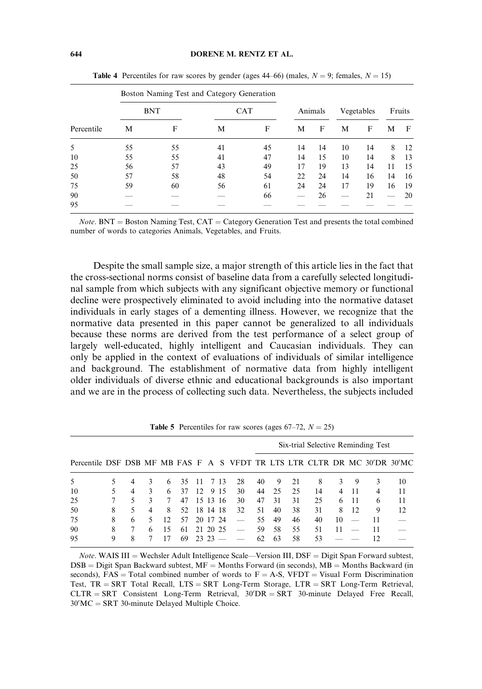|            |    | Boston Naming Test and Category Generation |    |            |    |         |    |            |    |        |
|------------|----|--------------------------------------------|----|------------|----|---------|----|------------|----|--------|
|            |    | <b>BNT</b>                                 |    | <b>CAT</b> |    | Animals |    | Vegetables |    | Fruits |
| Percentile | М  | F                                          | М  | F          | M  | F       | M  | F          | М  | F      |
| 5          | 55 | 55                                         | 41 | 45         | 14 | 14      | 10 | 14         | 8  | 12     |
| 10         | 55 | 55                                         | 41 | 47         | 14 | 15      | 10 | 14         | 8  | 13     |
| 25         | 56 | 57                                         | 43 | 49         | 17 | 19      | 13 | 14         | 11 | 15     |
| 50         | 57 | 58                                         | 48 | 54         | 22 | 24      | 14 | 16         | 14 | 16     |
| 75         | 59 | 60                                         | 56 | 61         | 24 | 24      | 17 | 19         | 16 | 19     |
| 90         |    |                                            |    | 66         |    | 26      |    | 21         |    | 20     |
| 95         |    |                                            |    |            |    |         |    |            |    |        |

**Table 4** Percentiles for raw scores by gender (ages 44–66) (males,  $N = 9$ ; females,  $N = 15$ )

 $Note. BNT = Boston Naming Test, CAT = Category Generation Test and presents the total combined$ number of words to categories Animals, Vegetables, and Fruits.

Despite the small sample size, a major strength of this article lies in the fact that the cross-sectional norms consist of baseline data from a carefully selected longitudinal sample from which subjects with any significant objective memory or functional decline were prospectively eliminated to avoid including into the normative dataset individuals in early stages of a dementing illness. However, we recognize that the normative data presented in this paper cannot be generalized to all individuals because these norms are derived from the test performance of a select group of largely well-educated, highly intelligent and Caucasian individuals. They can only be applied in the context of evaluations of individuals of similar intelligence and background. The establishment of normative data from highly intelligent older individuals of diverse ethnic and educational backgrounds is also important and we are in the process of collecting such data. Nevertheless, the subjects included

|                                                                           |   |   |   |              |    |     |          |      |    |     |    |    | Six-trial Selective Reminding Test |    |    |    |    |
|---------------------------------------------------------------------------|---|---|---|--------------|----|-----|----------|------|----|-----|----|----|------------------------------------|----|----|----|----|
| Percentile DSF DSB MF MB FAS F A S VFDT TR LTS LTR CLTR DR MC 30'DR 30'MC |   |   |   |              |    |     |          |      |    |     |    |    |                                    |    |    |    |    |
| .5                                                                        |   |   | 3 | 6            | 35 | 11  |          | 713  | 28 | 40  | 9  | 21 | 8                                  | 3  | 9  | 3  | 10 |
| 10                                                                        |   | 4 | 3 | 6            | 37 | 12. |          | 9 15 | 30 | 44  | 25 | 25 | 14                                 | 4  | 11 |    | 11 |
| 25                                                                        |   |   | 3 | 7            | 47 |     | 15 13 16 |      | 30 | 47  | 31 | 31 | 25                                 | 6  | 11 | 6  | 11 |
| 50                                                                        | 8 | 5 | 4 | 8            | 52 |     | 18 14 18 |      | 32 | 51  | 40 | 38 | 31                                 | 8  | 12 | 9  | 12 |
| 75                                                                        | 8 | 6 |   | $12^{\circ}$ | 57 |     | 20 17    | -24  |    | 55. | 49 | 46 | 40                                 | 10 |    |    |    |
| 90                                                                        | 8 |   | 6 | 15           | 61 | 21  | 20.25    |      |    | 59  | 58 | 55 | 51                                 | 11 |    | 11 |    |
| 95                                                                        | 9 | 8 |   |              | 69 | 23  |          |      |    | 62. | 63 | 58 | 53                                 |    |    | 12 |    |

**Table 5** Percentiles for raw scores (ages  $67-72$ ,  $N = 25$ )

*Note.* WAIS III = Wechsler Adult Intelligence Scale—Version III,  $DSF =$  Digit Span Forward subtest,  $DSB =$  Digit Span Backward subtest,  $MF =$  Months Forward (in seconds),  $MB =$  Months Backward (in seconds),  $FAS = Total$  combined number of words to  $F = A-S$ , VFDT = Visual Form Discrimination Test,  $TR = SRT$  Total Recall,  $LTS = SRT$  Long-Term Storage,  $LTR = SRT$  Long-Term Retrieval,  $CLTR = SRT$  Consistent Long-Term Retrieval,  $30'DR = SRT$  30-minute Delayed Free Recall,  $30'MC = SRT$  30-minute Delayed Multiple Choice.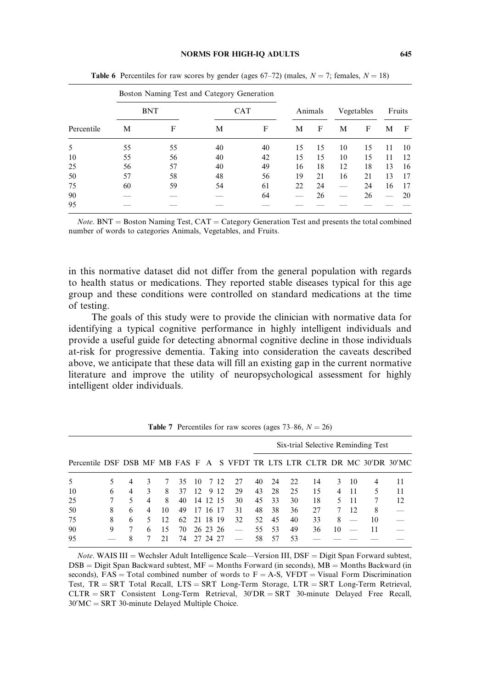#### NORMS FOR HIGH-IQ ADULTS 645

|            |    | Boston Naming Test and Category Generation |    |            |    |         |    |            |    |        |
|------------|----|--------------------------------------------|----|------------|----|---------|----|------------|----|--------|
|            |    | <b>BNT</b>                                 |    | <b>CAT</b> |    | Animals |    | Vegetables |    | Fruits |
| Percentile | М  | F                                          | М  | F          | М  | F       | М  | F          | М  | F      |
| 5          | 55 | 55                                         | 40 | 40         | 15 | 15      | 10 | 15         | 11 | 10     |
| 10         | 55 | 56                                         | 40 | 42         | 15 | 15      | 10 | 15         | 11 | 12     |
| 25         | 56 | 57                                         | 40 | 49         | 16 | 18      | 12 | 18         | 13 | 16     |
| 50         | 57 | 58                                         | 48 | 56         | 19 | 21      | 16 | 21         | 13 | 17     |
| 75         | 60 | 59                                         | 54 | 61         | 22 | 24      |    | 24         | 16 | 17     |
| 90         |    |                                            |    | 64         |    | 26      |    | 26         |    | 20     |
| 95         |    |                                            |    |            |    |         |    |            |    |        |

**Table 6** Percentiles for raw scores by gender (ages 67–72) (males,  $N = 7$ ; females,  $N = 18$ )

 $Note. BNT = Boston Naming Test, CAT = Category Generation Test and presents the total combined$ number of words to categories Animals, Vegetables, and Fruits.

in this normative dataset did not differ from the general population with regards to health status or medications. They reported stable diseases typical for this age group and these conditions were controlled on standard medications at the time of testing.

The goals of this study were to provide the clinician with normative data for identifying a typical cognitive performance in highly intelligent individuals and provide a useful guide for detecting abnormal cognitive decline in those individuals at-risk for progressive dementia. Taking into consideration the caveats described above, we anticipate that these data will fill an existing gap in the current normative literature and improve the utility of neuropsychological assessment for highly intelligent older individuals.

|                                                                           |   |   |   |    |       |          |          |      |    |     |    |    | Six-trial Selective Reminding Test |    |                          |    |    |
|---------------------------------------------------------------------------|---|---|---|----|-------|----------|----------|------|----|-----|----|----|------------------------------------|----|--------------------------|----|----|
| Percentile DSF DSB MF MB FAS F A S VFDT TR LTS LTR CLTR DR MC 30'DR 30'MC |   |   |   |    |       |          |          |      |    |     |    |    |                                    |    |                          |    |    |
| 5                                                                         |   |   |   |    | 35    | 10       |          | 7 12 | 27 | 40  | 24 | 22 | 14                                 | 3  | 10                       | 4  | 11 |
| 10                                                                        | 6 | 4 |   | 8  | 37    | 12       | 9        | 12   | 29 | 43  | 28 | 25 | 15                                 | 4  | 11                       |    | 11 |
| 25                                                                        |   |   | 4 | 8  | 40    |          | 14 12 15 |      | 30 | 45  | 33 | 30 | 18                                 |    | -11                      |    | 12 |
| 50                                                                        | 8 | 6 | 4 | 10 | 49    | 17       | -16      | -17  | 31 | 48  | 38 | 36 | 27                                 |    | 12                       | 8  |    |
| 75                                                                        | 8 | 6 |   | 12 | 62 21 |          | 18 19    |      | 32 | 52  | 45 | 40 | 33                                 | 8  | $\overline{\phantom{a}}$ | 10 |    |
| 90                                                                        | 9 |   | 6 | 15 | 70.   |          | 26 23 26 |      |    | 55. | 53 | 49 | 36                                 | 10 | _                        | 11 |    |
| 95                                                                        |   |   |   | 21 | 74    | 27 24 27 |          |      |    | 58  | 57 | 53 |                                    |    |                          |    |    |

**Table 7** Percentiles for raw scores (ages 73–86,  $N = 26$ )

*Note.* WAIS III = Wechsler Adult Intelligence Scale—Version III,  $DSF =$  Digit Span Forward subtest,  $DSB =$  Digit Span Backward subtest,  $MF =$  Months Forward (in seconds),  $MB =$  Months Backward (in seconds),  $FAS = Total$  combined number of words to  $F = A-S$ , VFDT = Visual Form Discrimination Test,  $TR = SRT$  Total Recall,  $LTS = SRT$  Long-Term Storage,  $LTR = SRT$  Long-Term Retrieval,  $CLTR = SRT$  Consistent Long-Term Retrieval,  $30'DR = SRT$  30-minute Delayed Free Recall,  $30'MC = SRT$  30-minute Delayed Multiple Choice.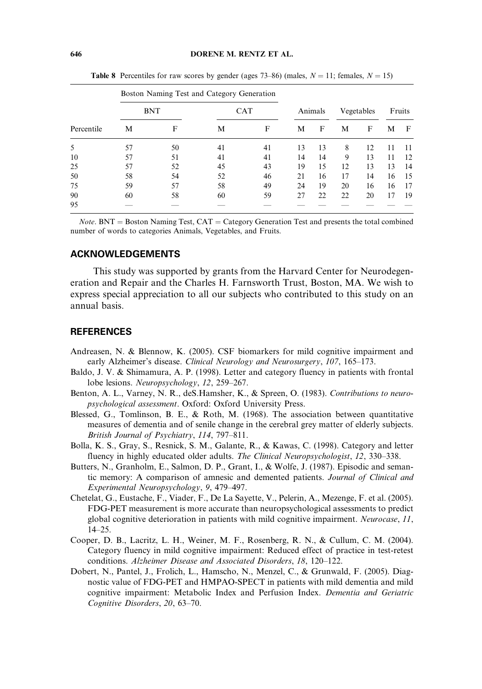|            |    | Boston Naming Test and Category Generation |    |            |    |         |    |            |    |        |
|------------|----|--------------------------------------------|----|------------|----|---------|----|------------|----|--------|
|            |    | <b>BNT</b>                                 |    | <b>CAT</b> |    | Animals |    | Vegetables |    | Fruits |
| Percentile | М  | F                                          | М  | F          | М  | F       | М  | F          | М  | F      |
| 5          | 57 | 50                                         | 41 | 41         | 13 | 13      | 8  | 12         | 11 | 11     |
| 10         | 57 | 51                                         | 41 | 41         | 14 | 14      | 9  | 13         | 11 | 12     |
| 25         | 57 | 52                                         | 45 | 43         | 19 | 15      | 12 | 13         | 13 | 14     |
| 50         | 58 | 54                                         | 52 | 46         | 21 | 16      | 17 | 14         | 16 | 15     |
| 75         | 59 | 57                                         | 58 | 49         | 24 | 19      | 20 | 16         | 16 | 17     |
| 90         | 60 | 58                                         | 60 | 59         | 27 | 22      | 22 | 20         | 17 | 19     |
| 95         |    |                                            |    |            |    |         |    |            |    |        |

**Table 8** Percentiles for raw scores by gender (ages 73–86) (males,  $N = 11$ ; females,  $N = 15$ )

*Note*. BNT = Boston Naming Test,  $CAT =$  Category Generation Test and presents the total combined number of words to categories Animals, Vegetables, and Fruits.

## ACKNOWLEDGEMENTS

This study was supported by grants from the Harvard Center for Neurodegeneration and Repair and the Charles H. Farnsworth Trust, Boston, MA. We wish to express special appreciation to all our subjects who contributed to this study on an annual basis.

## **REFERENCES**

- Andreasen, N. & Blennow, K. (2005). CSF biomarkers for mild cognitive impairment and early Alzheimer's disease. Clinical Neurology and Neurosurgery, 107, 165–173.
- Baldo, J. V. & Shimamura, A. P. (1998). Letter and category fluency in patients with frontal lobe lesions. Neuropsychology, 12, 259–267.
- Benton, A. L., Varney, N. R., deS.Hamsher, K., & Spreen, O. (1983). Contributions to neuropsychological assessment. Oxford: Oxford University Press.
- Blessed, G., Tomlinson, B. E., & Roth, M. (1968). The association between quantitative measures of dementia and of senile change in the cerebral grey matter of elderly subjects. British Journal of Psychiatry, 114, 797–811.
- Bolla, K. S., Gray, S., Resnick, S. M., Galante, R., & Kawas, C. (1998). Category and letter fluency in highly educated older adults. The Clinical Neuropsychologist, 12, 330–338.
- Butters, N., Granholm, E., Salmon, D. P., Grant, I., & Wolfe, J. (1987). Episodic and semantic memory: A comparison of amnesic and demented patients. Journal of Clinical and Experimental Neuropsychology, 9, 479–497.
- Chetelat, G., Eustache, F., Viader, F., De La Sayette, V., Pelerin, A., Mezenge, F. et al. (2005). FDG-PET measurement is more accurate than neuropsychological assessments to predict global cognitive deterioration in patients with mild cognitive impairment. Neurocase, 11, 14–25.
- Cooper, D. B., Lacritz, L. H., Weiner, M. F., Rosenberg, R. N., & Cullum, C. M. (2004). Category fluency in mild cognitive impairment: Reduced effect of practice in test-retest conditions. Alzheimer Disease and Associated Disorders, 18, 120–122.
- Dobert, N., Pantel, J., Frolich, L., Hamscho, N., Menzel, C., & Grunwald, F. (2005). Diagnostic value of FDG-PET and HMPAO-SPECT in patients with mild dementia and mild cognitive impairment: Metabolic Index and Perfusion Index. Dementia and Geriatric Cognitive Disorders, 20, 63–70.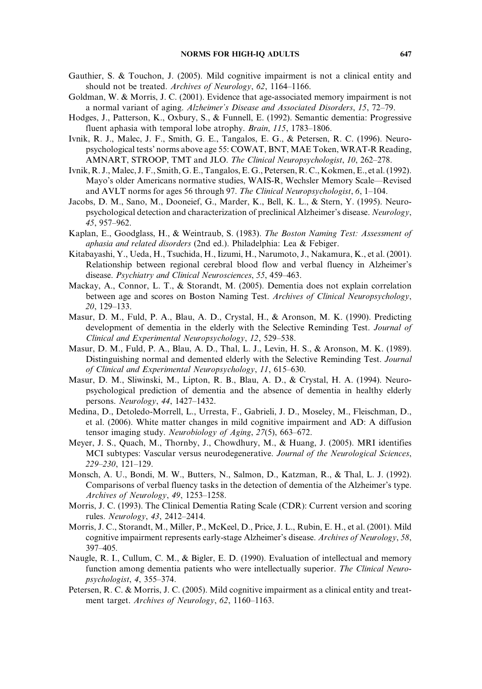- Gauthier, S. & Touchon, J. (2005). Mild cognitive impairment is not a clinical entity and should not be treated. Archives of Neurology, 62, 1164–1166.
- Goldman, W. & Morris, J. C. (2001). Evidence that age-associated memory impairment is not a normal variant of aging. Alzheimer's Disease and Associated Disorders, 15, 72–79.
- Hodges, J., Patterson, K., Oxbury, S., & Funnell, E. (1992). Semantic dementia: Progressive fluent aphasia with temporal lobe atrophy. Brain, 115, 1783–1806.
- Ivnik, R. J., Malec, J. F., Smith, G. E., Tangalos, E. G., & Petersen, R. C. (1996). Neuropsychological tests' norms above age 55: COWAT, BNT, MAE Token, WRAT-R Reading, AMNART, STROOP, TMT and JLO. The Clinical Neuropsychologist, 10, 262–278.
- Ivnik, R. J.,Malec, J. F., Smith, G. E., Tangalos, E. G., Petersen, R. C., Kokmen, E., et al. (1992). Mayo's older Americans normative studies, WAIS-R, Wechsler Memory Scale—Revised and AVLT norms for ages 56 through 97. The Clinical Neuropsychologist, 6, 1–104.
- Jacobs, D. M., Sano, M., Dooneief, G., Marder, K., Bell, K. L., & Stern, Y. (1995). Neuropsychological detection and characterization of preclinical Alzheimer's disease. Neurology, 45, 957–962.
- Kaplan, E., Goodglass, H., & Weintraub, S. (1983). The Boston Naming Test: Assessment of aphasia and related disorders (2nd ed.). Philadelphia: Lea & Febiger.
- Kitabayashi, Y., Ueda, H., Tsuchida, H., Iizumi, H., Narumoto, J., Nakamura, K., et al. (2001). Relationship between regional cerebral blood flow and verbal fluency in Alzheimer's disease. Psychiatry and Clinical Neurosciences, 55, 459–463.
- Mackay, A., Connor, L. T., & Storandt, M. (2005). Dementia does not explain correlation between age and scores on Boston Naming Test. Archives of Clinical Neuropsychology, 20, 129–133.
- Masur, D. M., Fuld, P. A., Blau, A. D., Crystal, H., & Aronson, M. K. (1990). Predicting development of dementia in the elderly with the Selective Reminding Test. Journal of Clinical and Experimental Neuropsychology, 12, 529–538.
- Masur, D. M., Fuld, P. A., Blau, A. D., Thal, L. J., Levin, H. S., & Aronson, M. K. (1989). Distinguishing normal and demented elderly with the Selective Reminding Test. Journal of Clinical and Experimental Neuropsychology, 11, 615–630.
- Masur, D. M., Sliwinski, M., Lipton, R. B., Blau, A. D., & Crystal, H. A. (1994). Neuropsychological prediction of dementia and the absence of dementia in healthy elderly persons. Neurology, 44, 1427–1432.
- Medina, D., Detoledo-Morrell, L., Urresta, F., Gabrieli, J. D., Moseley, M., Fleischman, D., et al. (2006). White matter changes in mild cognitive impairment and AD: A diffusion tensor imaging study. Neurobiology of Aging, 27(5), 663–672.
- Meyer, J. S., Quach, M., Thornby, J., Chowdhury, M., & Huang, J. (2005). MRI identifies MCI subtypes: Vascular versus neurodegenerative. Journal of the Neurological Sciences, 229–230, 121–129.
- Monsch, A. U., Bondi, M. W., Butters, N., Salmon, D., Katzman, R., & Thal, L. J. (1992). Comparisons of verbal fluency tasks in the detection of dementia of the Alzheimer's type. Archives of Neurology, 49, 1253–1258.
- Morris, J. C. (1993). The Clinical Dementia Rating Scale (CDR): Current version and scoring rules. Neurology, 43, 2412–2414.
- Morris, J. C., Storandt, M., Miller, P., McKeel, D., Price, J. L., Rubin, E. H., et al. (2001). Mild cognitive impairment represents early-stage Alzheimer's disease. Archives of Neurology, 58, 397–405.
- Naugle, R. I., Cullum, C. M., & Bigler, E. D. (1990). Evaluation of intellectual and memory function among dementia patients who were intellectually superior. The Clinical Neuropsychologist, 4, 355–374.
- Petersen, R. C. & Morris, J. C. (2005). Mild cognitive impairment as a clinical entity and treatment target. Archives of Neurology, 62, 1160–1163.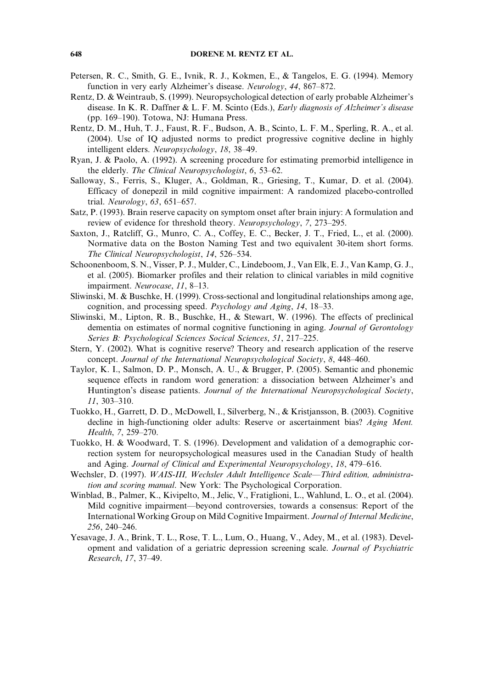- Petersen, R. C., Smith, G. E., Ivnik, R. J., Kokmen, E., & Tangelos, E. G. (1994). Memory function in very early Alzheimer's disease. Neurology, 44, 867–872.
- Rentz, D. & Weintraub, S. (1999). Neuropsychological detection of early probable Alzheimer's disease. In K. R. Daffner & L. F. M. Scinto (Eds.), *Early diagnosis of Alzheimer's disease* (pp. 169–190). Totowa, NJ: Humana Press.
- Rentz, D. M., Huh, T. J., Faust, R. F., Budson, A. B., Scinto, L. F. M., Sperling, R. A., et al. (2004). Use of IQ adjusted norms to predict progressive cognitive decline in highly intelligent elders. Neuropsychology, 18, 38–49.
- Ryan, J. & Paolo, A. (1992). A screening procedure for estimating premorbid intelligence in the elderly. The Clinical Neuropsychologist, 6, 53–62.
- Salloway, S., Ferris, S., Kluger, A., Goldman, R., Griesing, T., Kumar, D. et al. (2004). Efficacy of donepezil in mild cognitive impairment: A randomized placebo-controlled trial. Neurology, 63, 651–657.
- Satz, P. (1993). Brain reserve capacity on symptom onset after brain injury: A formulation and review of evidence for threshold theory. Neuropsychology, 7, 273–295.
- Saxton, J., Ratcliff, G., Munro, C. A., Coffey, E. C., Becker, J. T., Fried, L., et al. (2000). Normative data on the Boston Naming Test and two equivalent 30-item short forms. The Clinical Neuropsychologist, 14, 526–534.
- Schoonenboom, S. N., Visser, P. J., Mulder, C., Lindeboom, J., Van Elk, E. J., Van Kamp, G. J., et al. (2005). Biomarker profiles and their relation to clinical variables in mild cognitive impairment. Neurocase, 11, 8–13.
- Sliwinski, M. & Buschke, H. (1999). Cross-sectional and longitudinal relationships among age, cognition, and processing speed. Psychology and Aging, 14, 18–33.
- Sliwinski, M., Lipton, R. B., Buschke, H., & Stewart, W. (1996). The effects of preclinical dementia on estimates of normal cognitive functioning in aging. Journal of Gerontology Series B: Psychological Sciences Socical Sciences, 51, 217–225.
- Stern, Y. (2002). What is cognitive reserve? Theory and research application of the reserve concept. Journal of the International Neuropsychological Society, 8, 448–460.
- Taylor, K. I., Salmon, D. P., Monsch, A. U., & Brugger, P. (2005). Semantic and phonemic sequence effects in random word generation: a dissociation between Alzheimer's and Huntington's disease patients. Journal of the International Neuropsychological Society, 11, 303–310.
- Tuokko, H., Garrett, D. D., McDowell, I., Silverberg, N., & Kristjansson, B. (2003). Cognitive decline in high-functioning older adults: Reserve or ascertainment bias? Aging Ment. Health, 7, 259–270.
- Tuokko, H. & Woodward, T. S. (1996). Development and validation of a demographic correction system for neuropsychological measures used in the Canadian Study of health and Aging. Journal of Clinical and Experimental Neuropsychology, 18, 479–616.
- Wechsler, D. (1997). WAIS-III, Wechsler Adult Intelligence Scale—Third edition, administration and scoring manual. New York: The Psychological Corporation.
- Winblad, B., Palmer, K., Kivipelto, M., Jelic, V., Fratiglioni, L., Wahlund, L. O., et al. (2004). Mild cognitive impairment—beyond controversies, towards a consensus: Report of the International Working Group on Mild Cognitive Impairment. Journal of Internal Medicine, 256, 240–246.
- Yesavage, J. A., Brink, T. L., Rose, T. L., Lum, O., Huang, V., Adey, M., et al. (1983). Development and validation of a geriatric depression screening scale. Journal of Psychiatric Research, 17, 37–49.